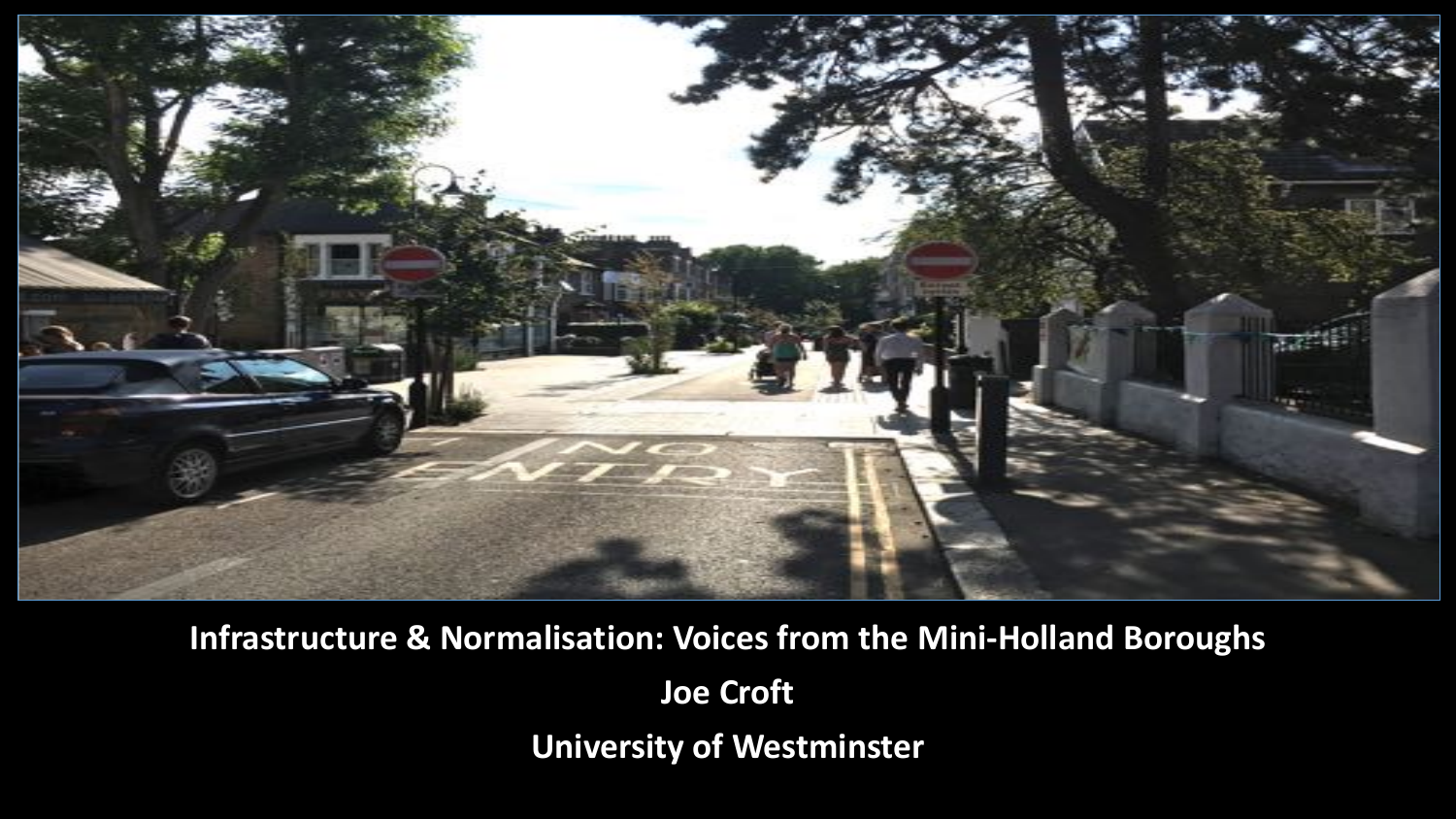

**Infrastructure & Normalisation: Voices from the Mini-Holland Boroughs Joe Croft University of Westminster**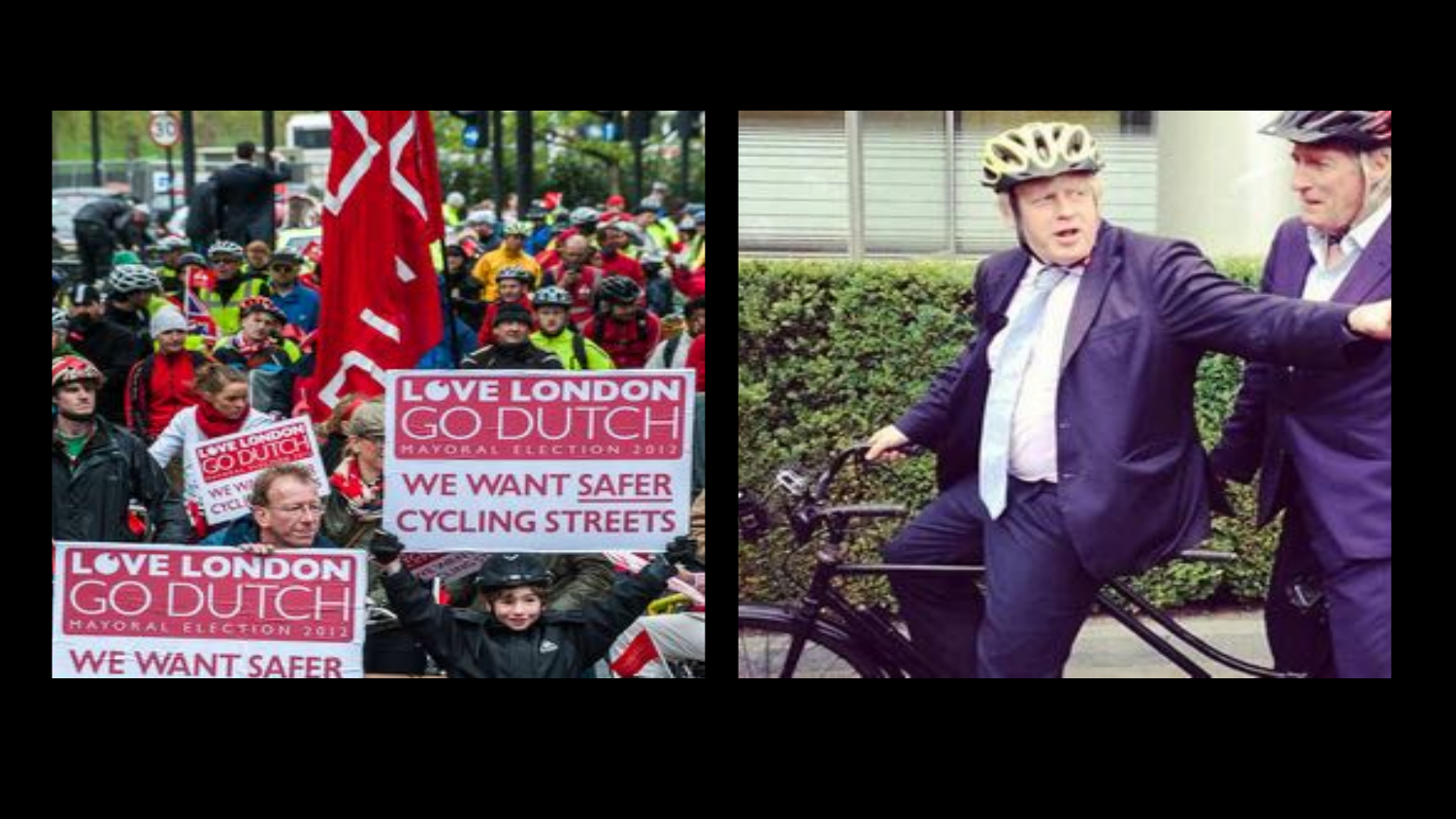

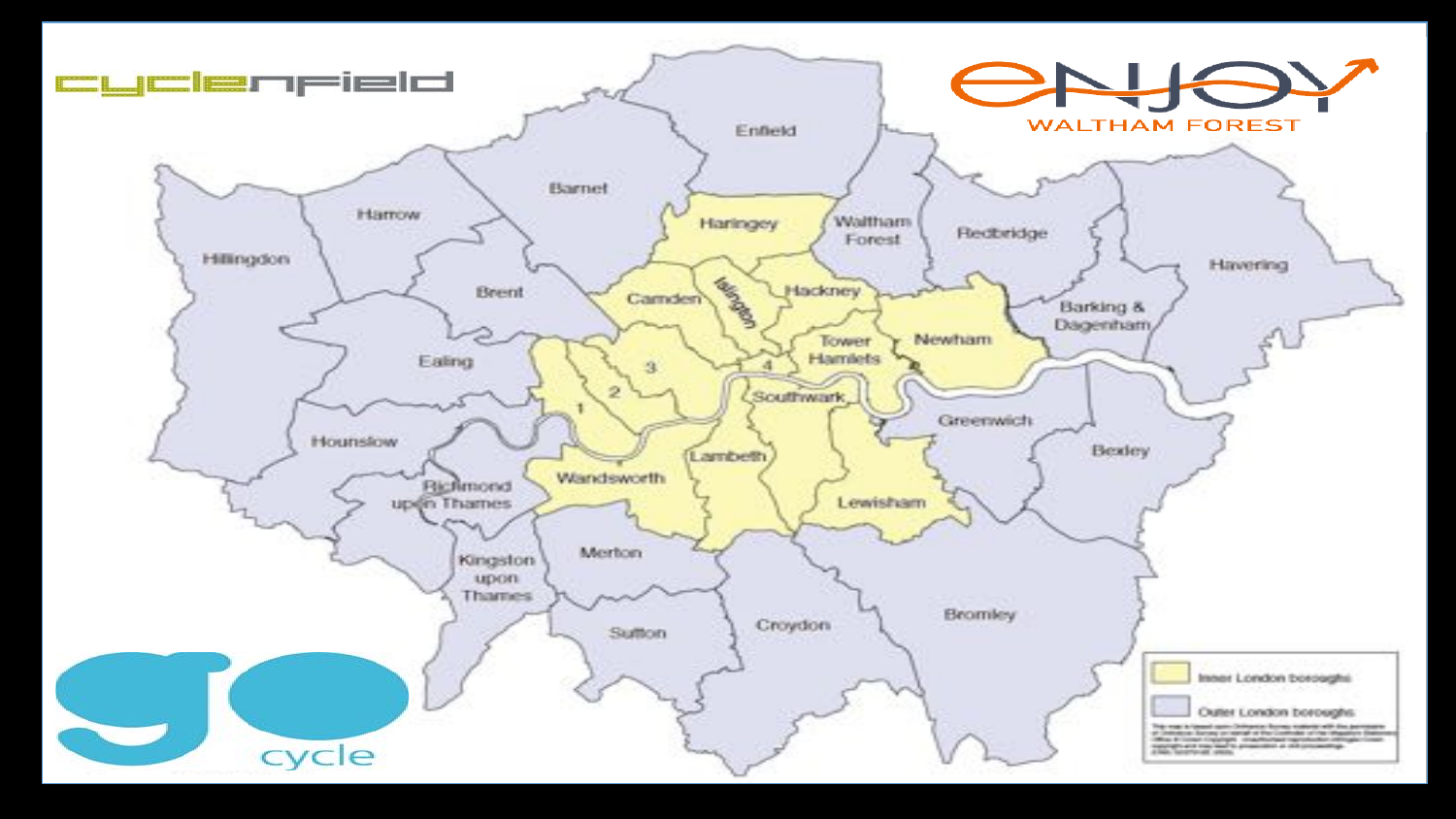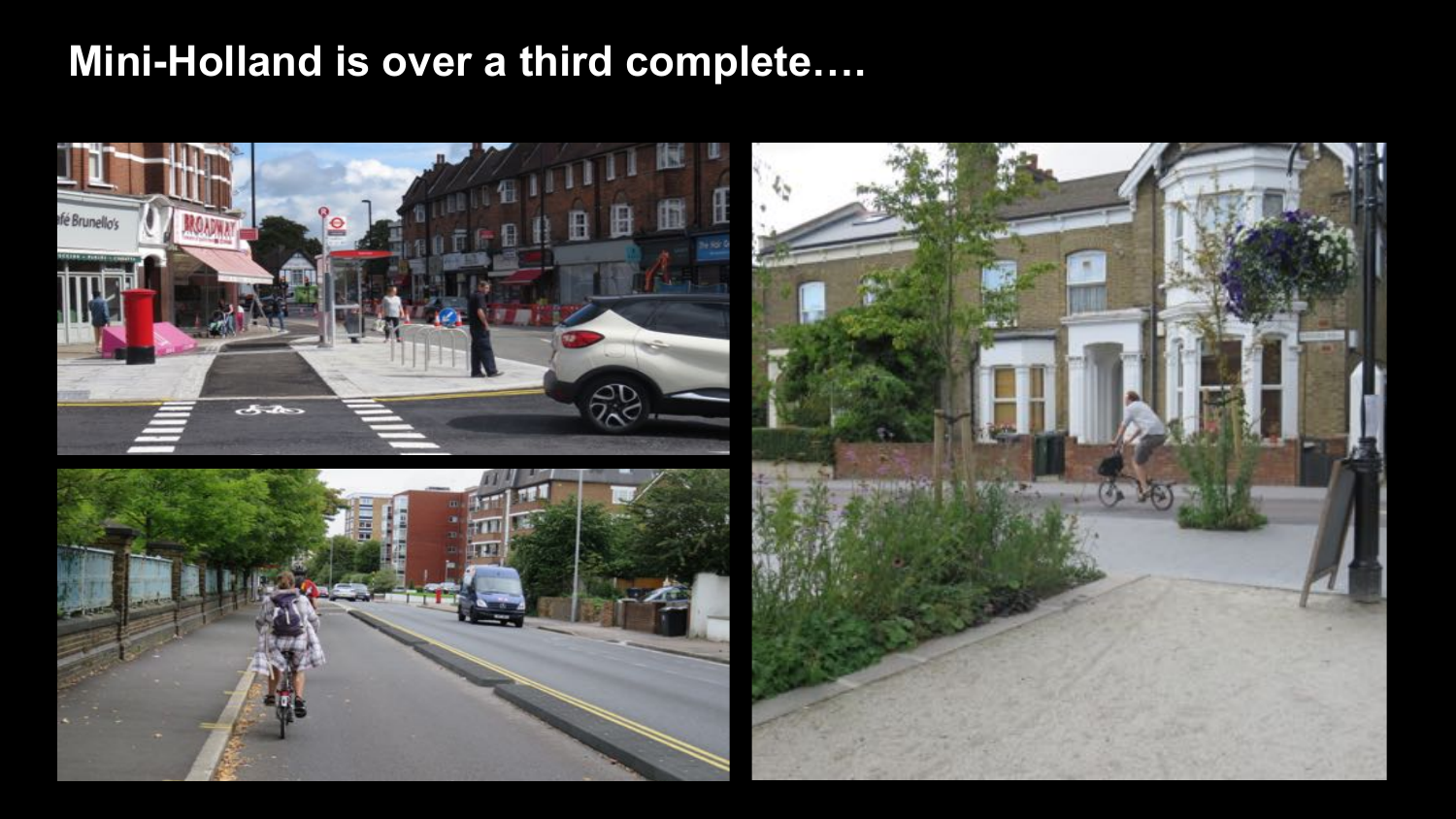## **Mini-Holland is over a third complete….**

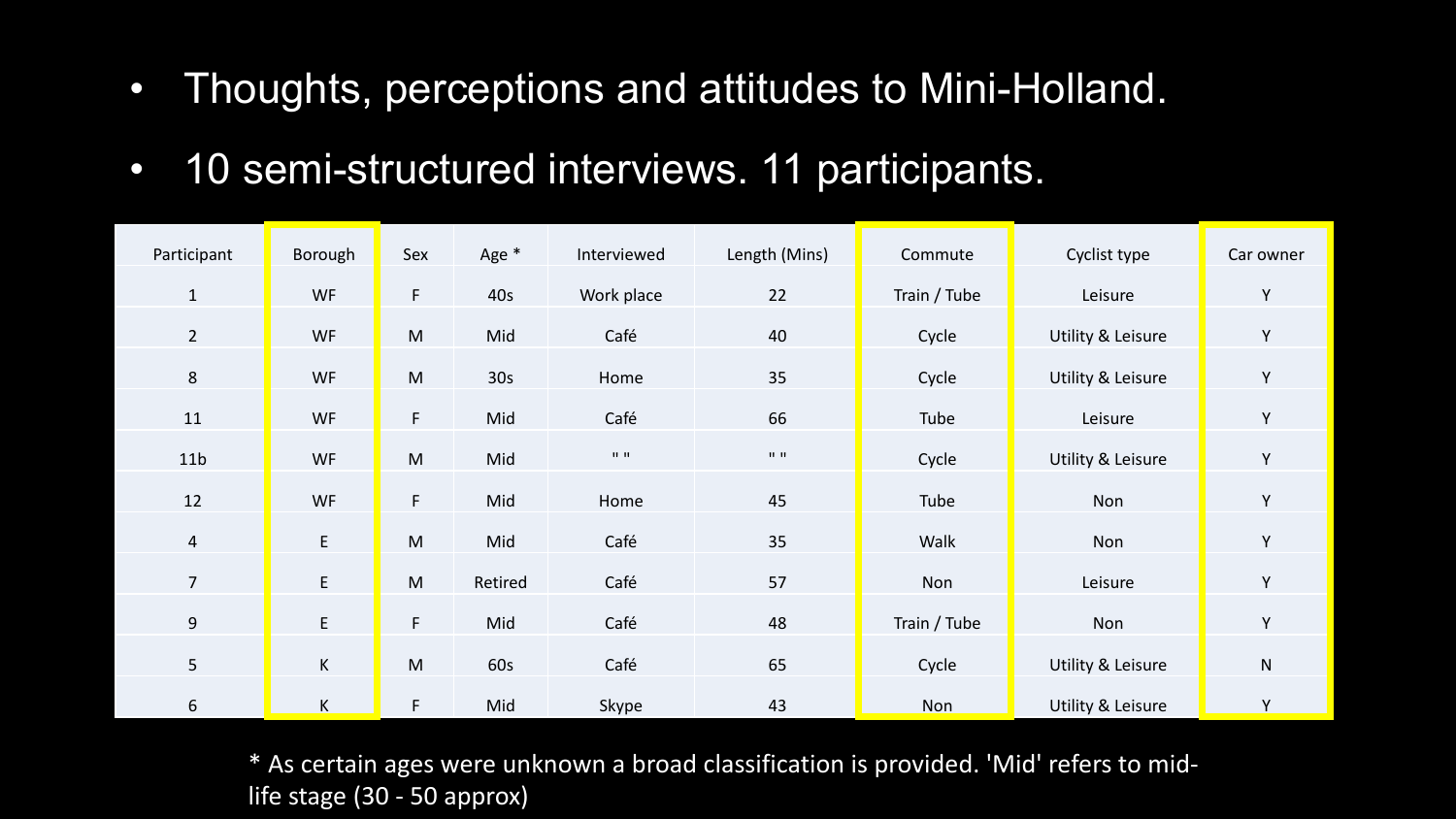- Thoughts, perceptions and attitudes to Mini-Holland.
- 10 semi-structured interviews. 11 participants.

| Participant     | Borough      | Sex                                                                                                        | Age *           | Interviewed                   | Length (Mins)                 | Commute      | Cyclist type                 | Car owner |
|-----------------|--------------|------------------------------------------------------------------------------------------------------------|-----------------|-------------------------------|-------------------------------|--------------|------------------------------|-----------|
| $\mathbf{1}$    | <b>WF</b>    | $\mathsf F$                                                                                                | 40s             | Work place                    | 22                            | Train / Tube | Leisure                      | Υ         |
| $\overline{2}$  | <b>WF</b>    | $\mathsf{M}% _{T}=\mathsf{M}_{T}\!\left( a,b\right) ,\ \mathsf{M}_{T}=\mathsf{M}_{T}\!\left( a,b\right) ,$ | Mid             | Café                          | 40                            | Cycle        | Utility & Leisure            | Y         |
| $\,8\,$         | <b>WF</b>    | M                                                                                                          | 30 <sub>s</sub> | Home                          | 35                            | Cycle        | Utility & Leisure            | Y         |
| 11              | <b>WF</b>    | F                                                                                                          | Mid             | Café                          | 66                            | Tube         | Leisure                      | Υ         |
| 11 <sub>b</sub> | <b>WF</b>    | M                                                                                                          | Mid             | $\mathbf{H}^{\top}\mathbf{H}$ | $\mathbf{H}^{\top}\mathbf{H}$ | Cycle        | <b>Utility &amp; Leisure</b> | Y         |
| 12              | <b>WF</b>    | F                                                                                                          | Mid             | Home                          | 45                            | Tube         | Non                          | Y         |
| $\overline{4}$  | $\mathsf{E}$ | M                                                                                                          | Mid             | Café                          | 35                            | Walk         | Non                          | Y         |
| $\overline{7}$  | $\mathsf{E}$ | $\mathsf{M}% _{T}=\mathsf{M}_{T}\!\left( a,b\right) ,\ \mathsf{M}_{T}=\mathsf{M}_{T}\!\left( a,b\right) ,$ | Retired         | Café                          | 57                            | Non          | Leisure                      | Y         |
| 9               | $\mathsf E$  | F                                                                                                          | Mid             | Café                          | 48                            | Train / Tube | Non                          | Υ         |
| 5               | $\mathsf K$  | M                                                                                                          | 60s             | Café                          | 65                            | Cycle        | Utility & Leisure            | ${\sf N}$ |
| 6               | $\mathsf{K}$ | $\mathsf F$                                                                                                | Mid             | Skype                         | 43                            | <b>Non</b>   | Utility & Leisure            | $\vee$    |

\* As certain ages were unknown a broad classification is provided. 'Mid' refers to midlife stage (30 - 50 approx)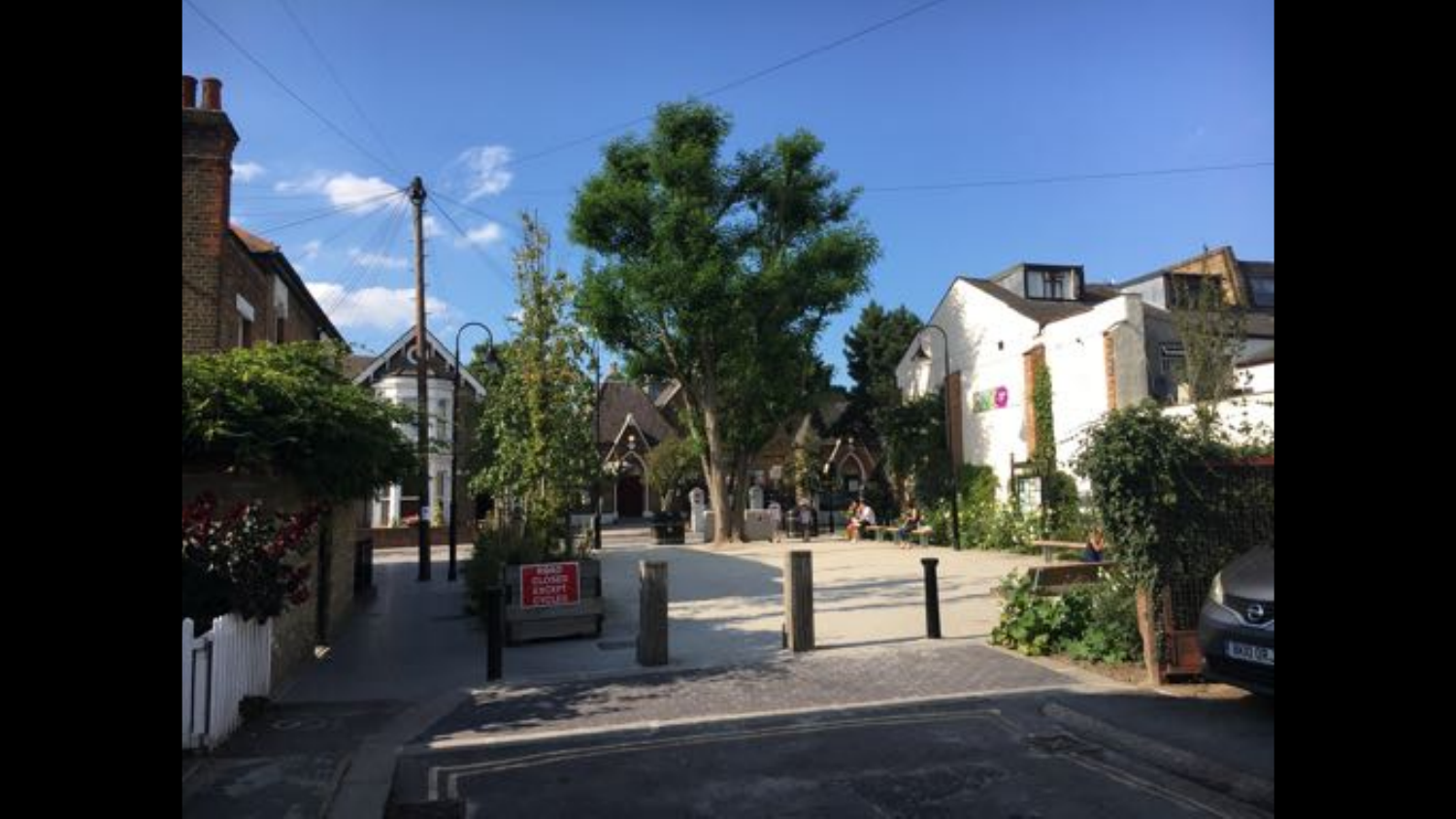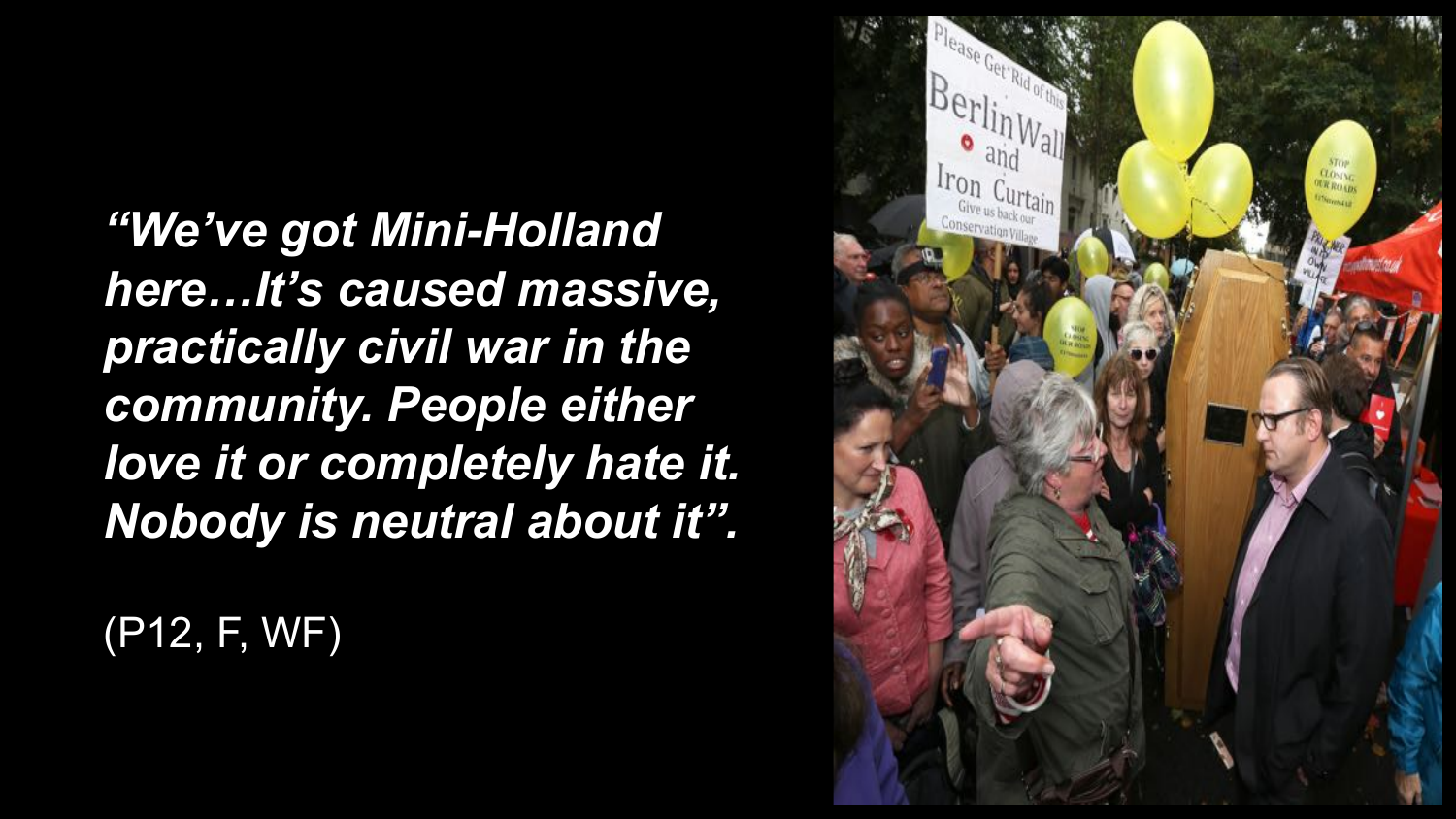*"We've got Mini-Holland here…It's caused massive, practically civil war in the community. People either love it or completely hate it. Nobody is neutral about it".*

(P12, F, WF)

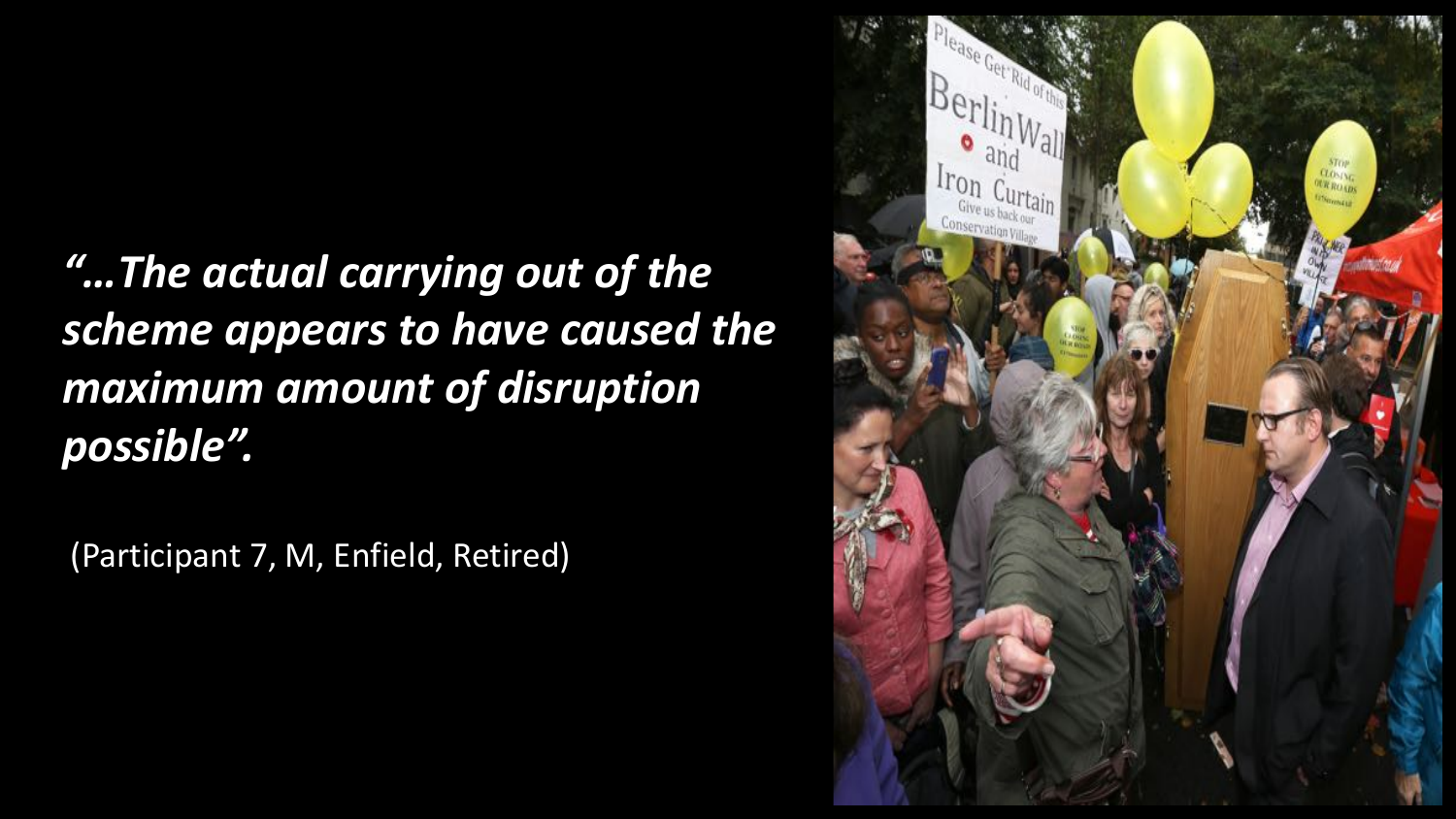*"…The actual carrying out of the*  scheme appears to have caused the *maximum amount of disruption possible".*

(Participant 7, M, Enfield, Retired)

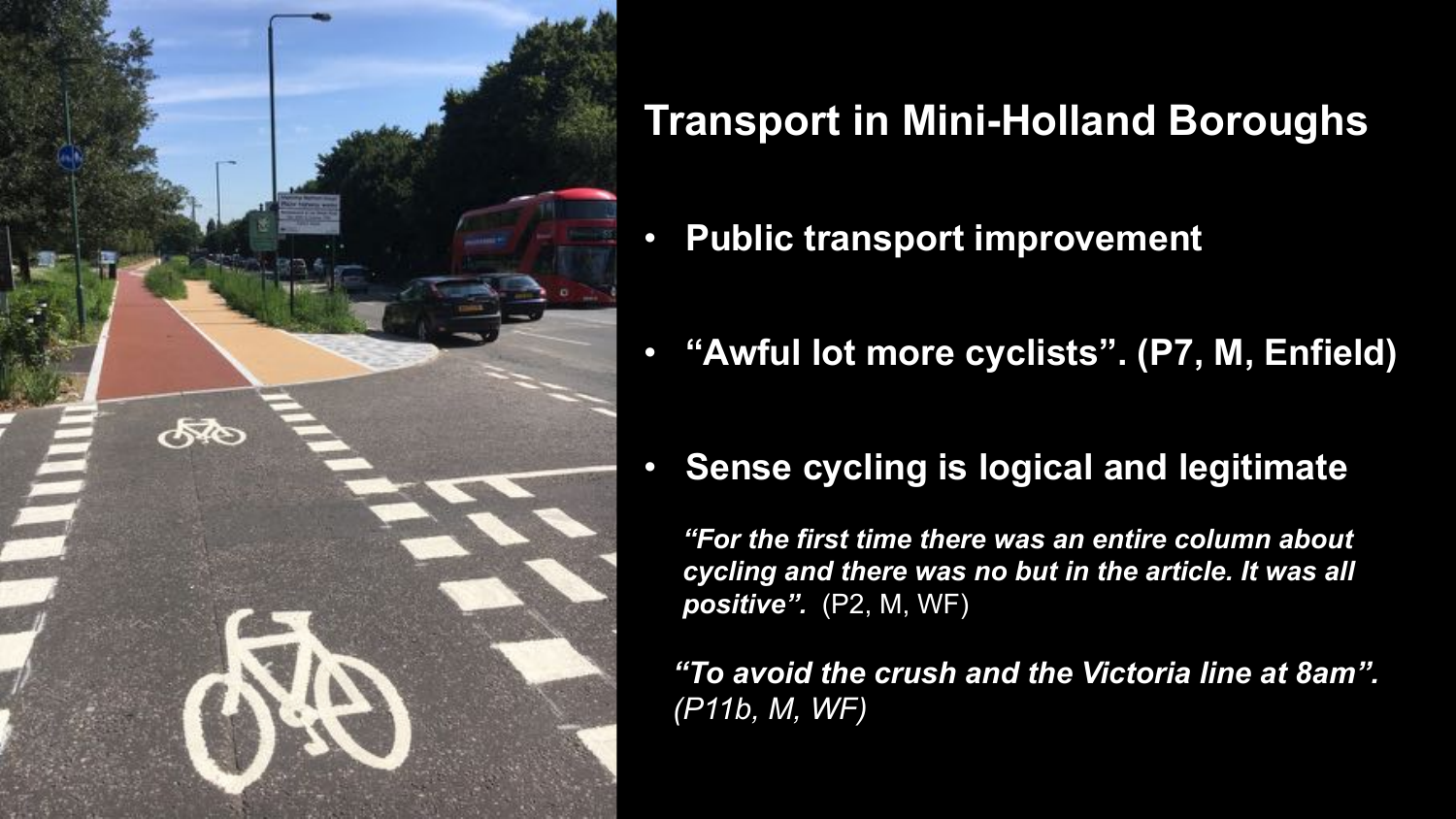

## **Transport in Mini-Holland Boroughs**

- **Public transport improvement**
- **"Awful lot more cyclists". (P7, M, Enfield)**
- **Sense cycling is logical and legitimate**

*"For the first time there was an entire column about cycling and there was no but in the article. It was all positive".* (P2, M, WF)

*"To avoid the crush and the Victoria line at 8am". (P11b, M, WF)*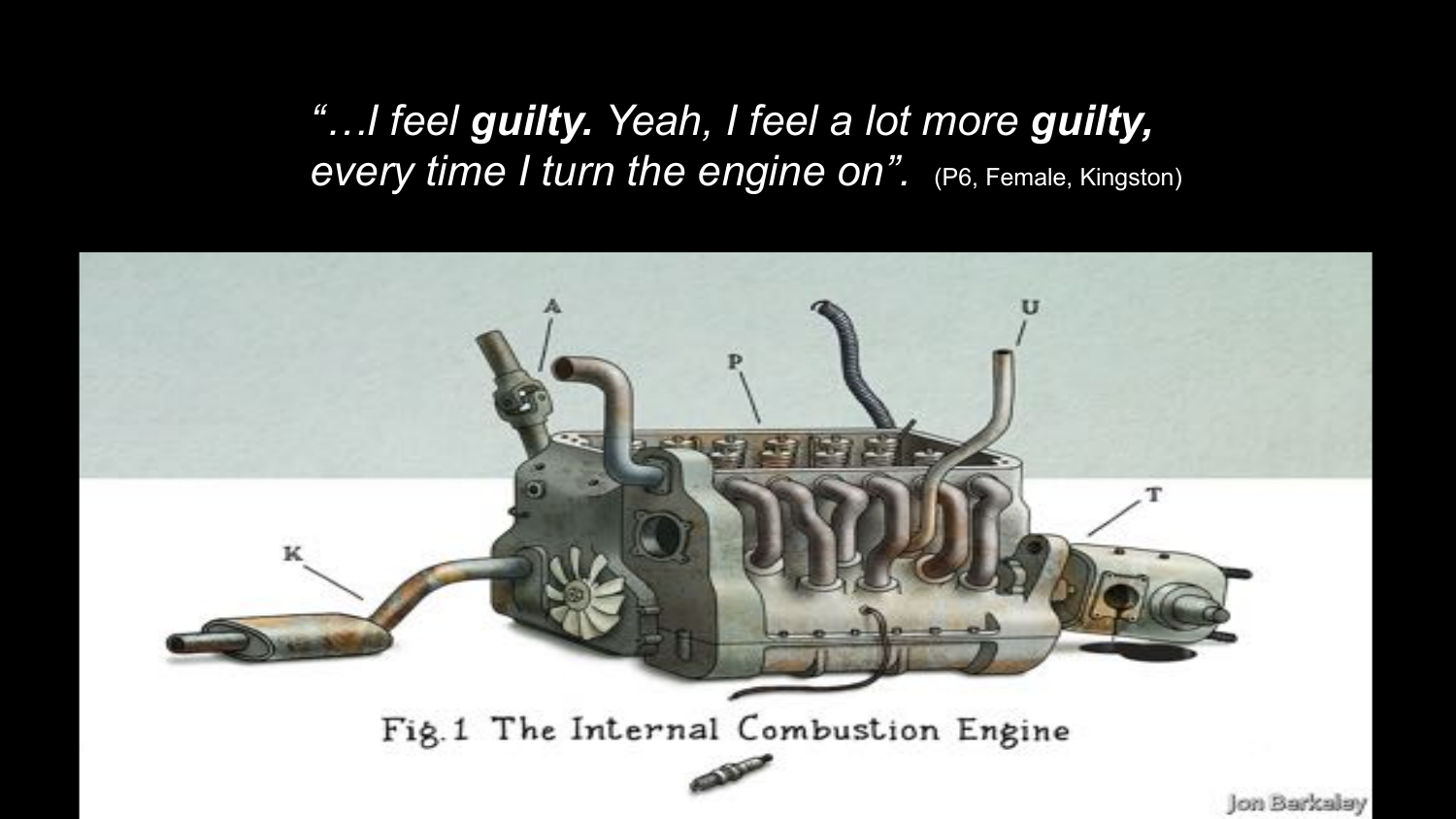### *"…I feel guilty. Yeah, I feel a lot more guilty,*  **every time I turn the engine on".** (P6, Female, Kingston)



Jon Barkalay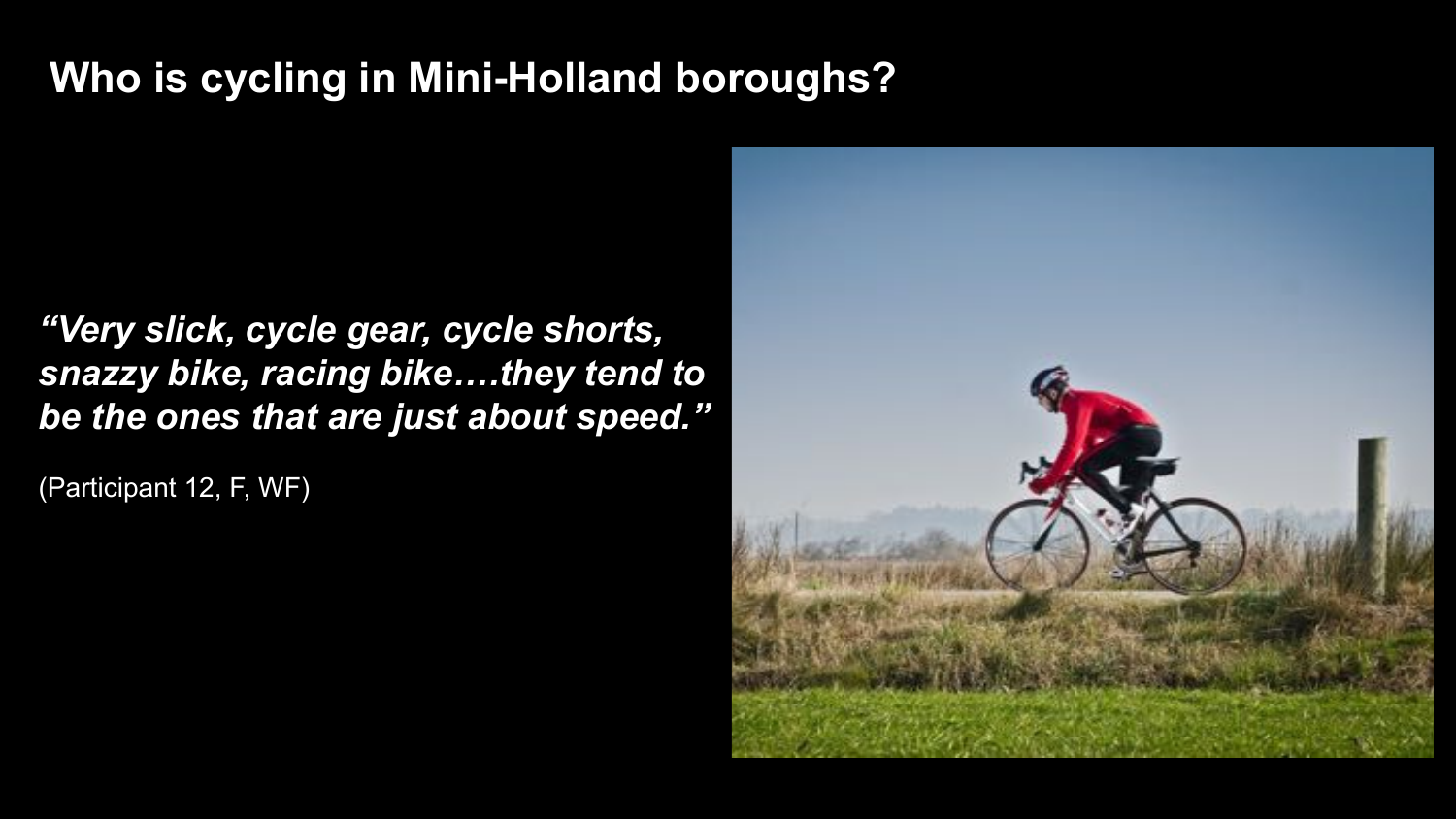## **Who is cycling in Mini-Holland boroughs?**

*"Very slick, cycle gear, cycle shorts, snazzy bike, racing bike….they tend to be the ones that are just about speed."* 

(Participant 12, F, WF)

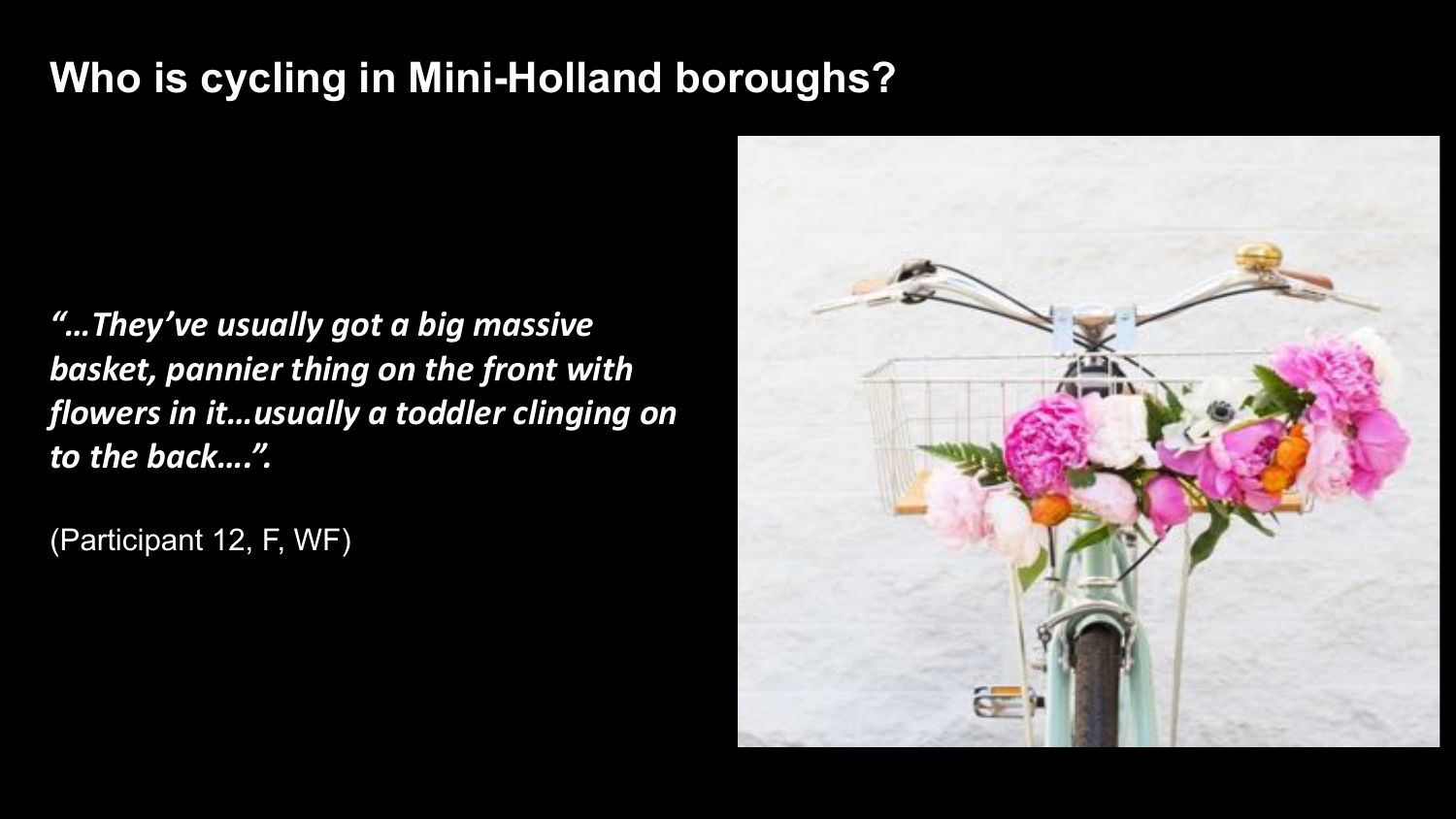## **Who is cycling in Mini-Holland boroughs?**

*"…They've usually got a big massive*  **basket, pannier thing on the front with** flowers in it...usually a toddler clinging on to the back....".

(Participant 12, F, WF)

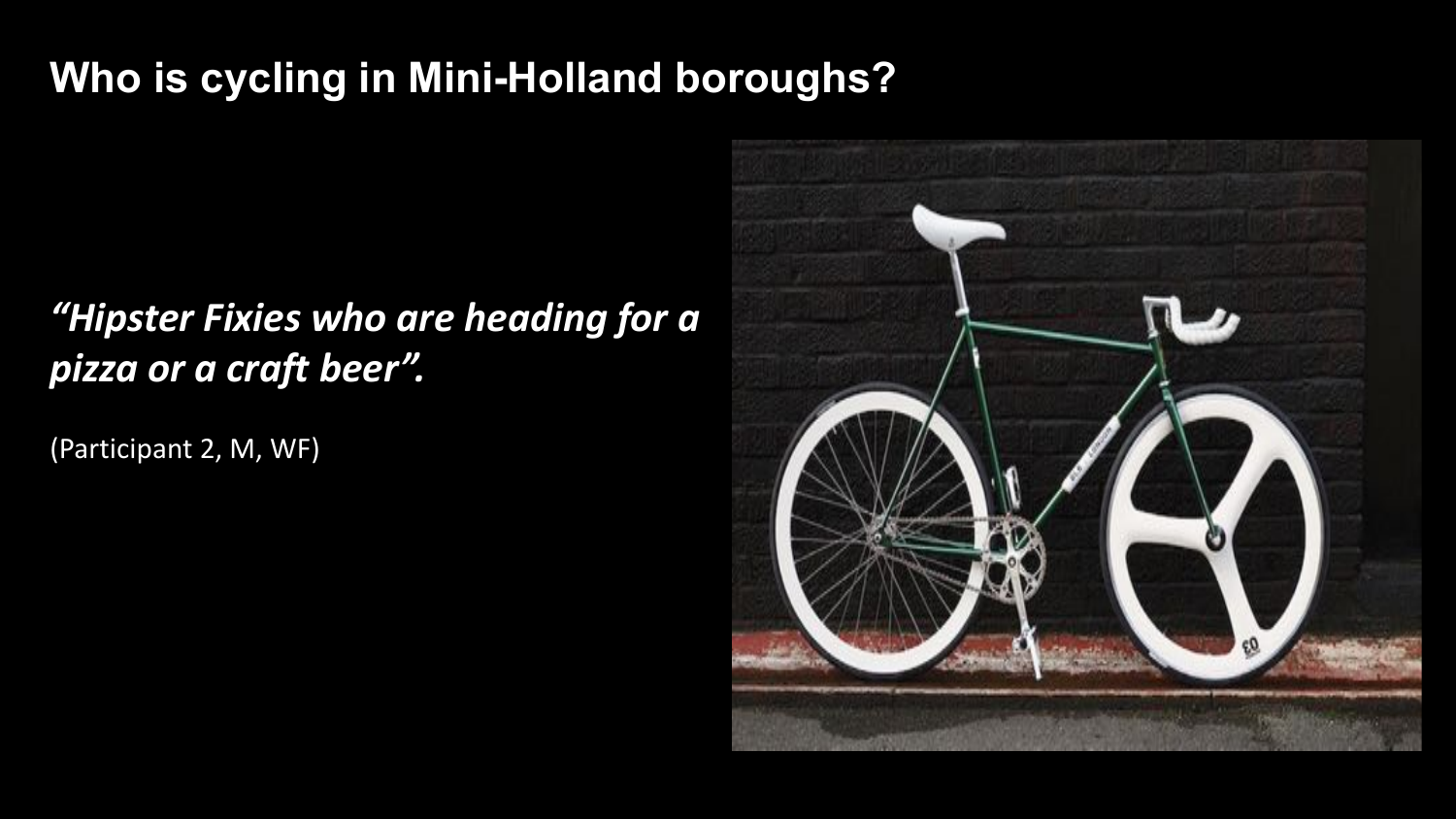## **Who is cycling in Mini-Holland boroughs?**

#### *"Hipster Fixies who are heading for a*  pizza or a craft beer".

(Participant 2, M, WF)

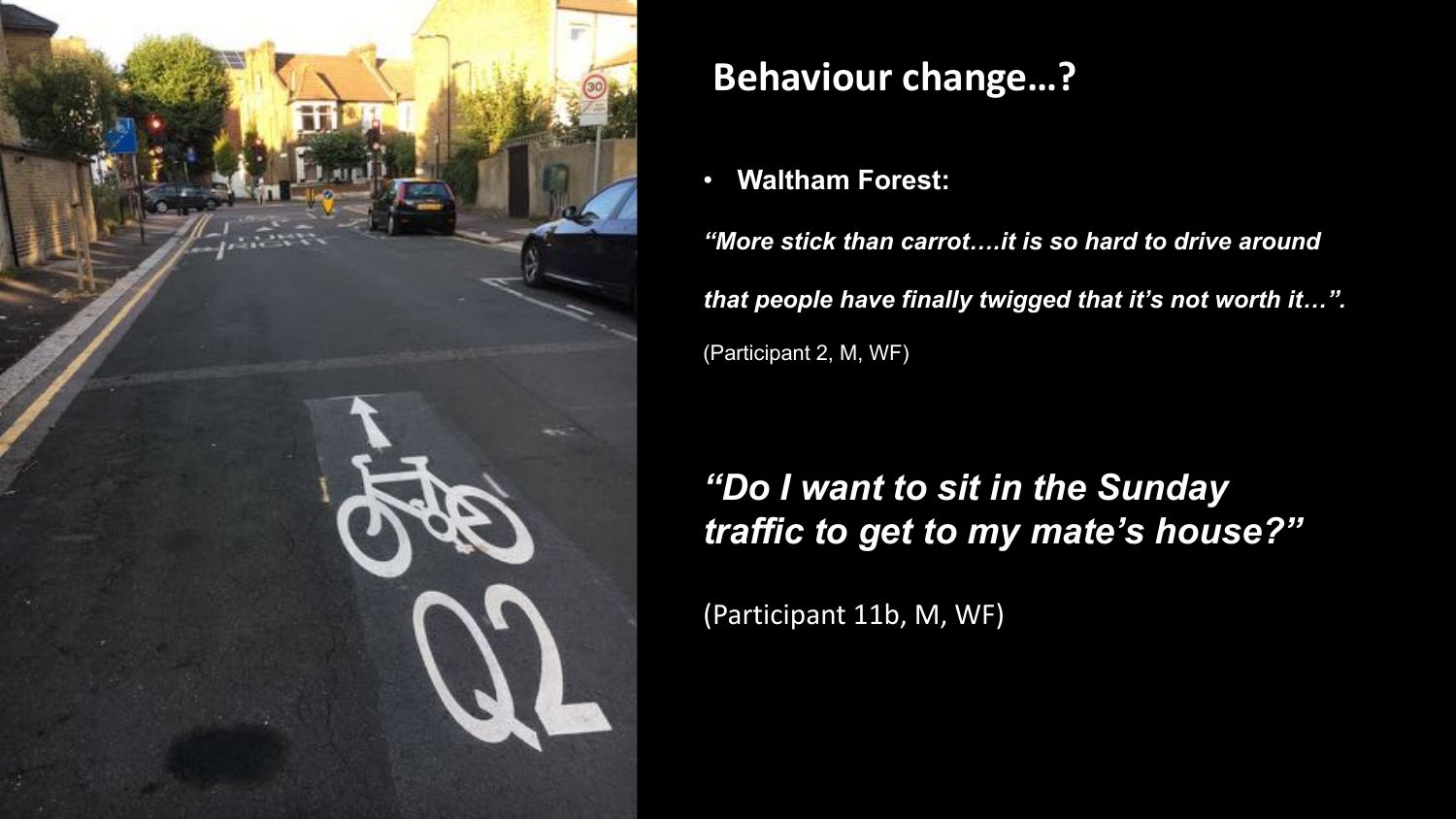

#### Behaviour change...?

• **Waltham Forest:**

*"More stick than carrot….it is so hard to drive around that people have finally twigged that it's not worth it…".*  (Participant 2, M, WF)

#### *"Do I want to sit in the Sunday traffic to get to my mate's house?"*

(Participant 11b, M, WF)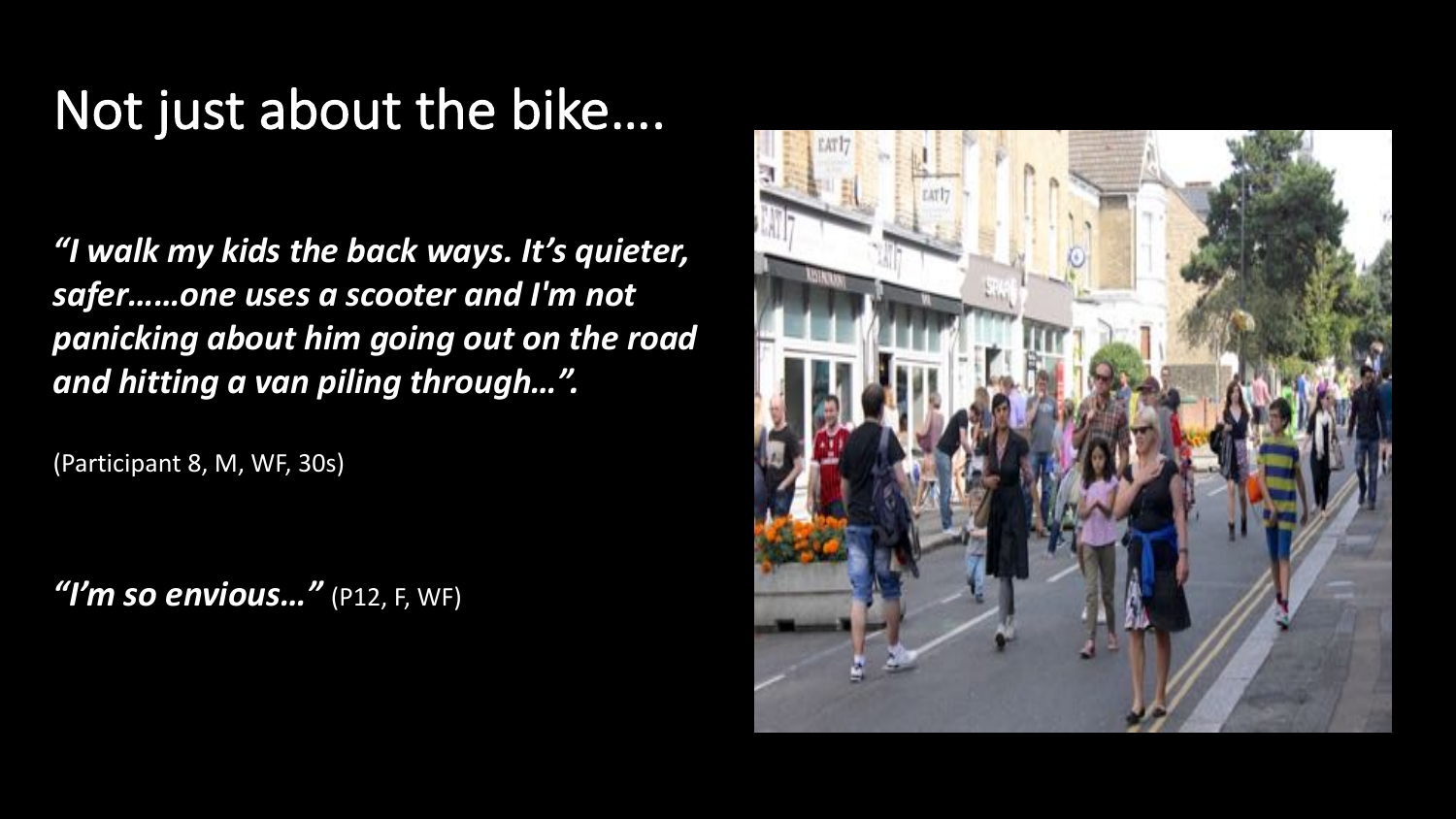## Not just about the bike....

*"I walk my kids the back ways. It's quieter,*  safer......one uses a scooter and I'm not panicking about him going out on the road and hitting a van piling through...".

(Participant 8, M, WF, 30s)

"I'm so envious..." (P12, F, WF)

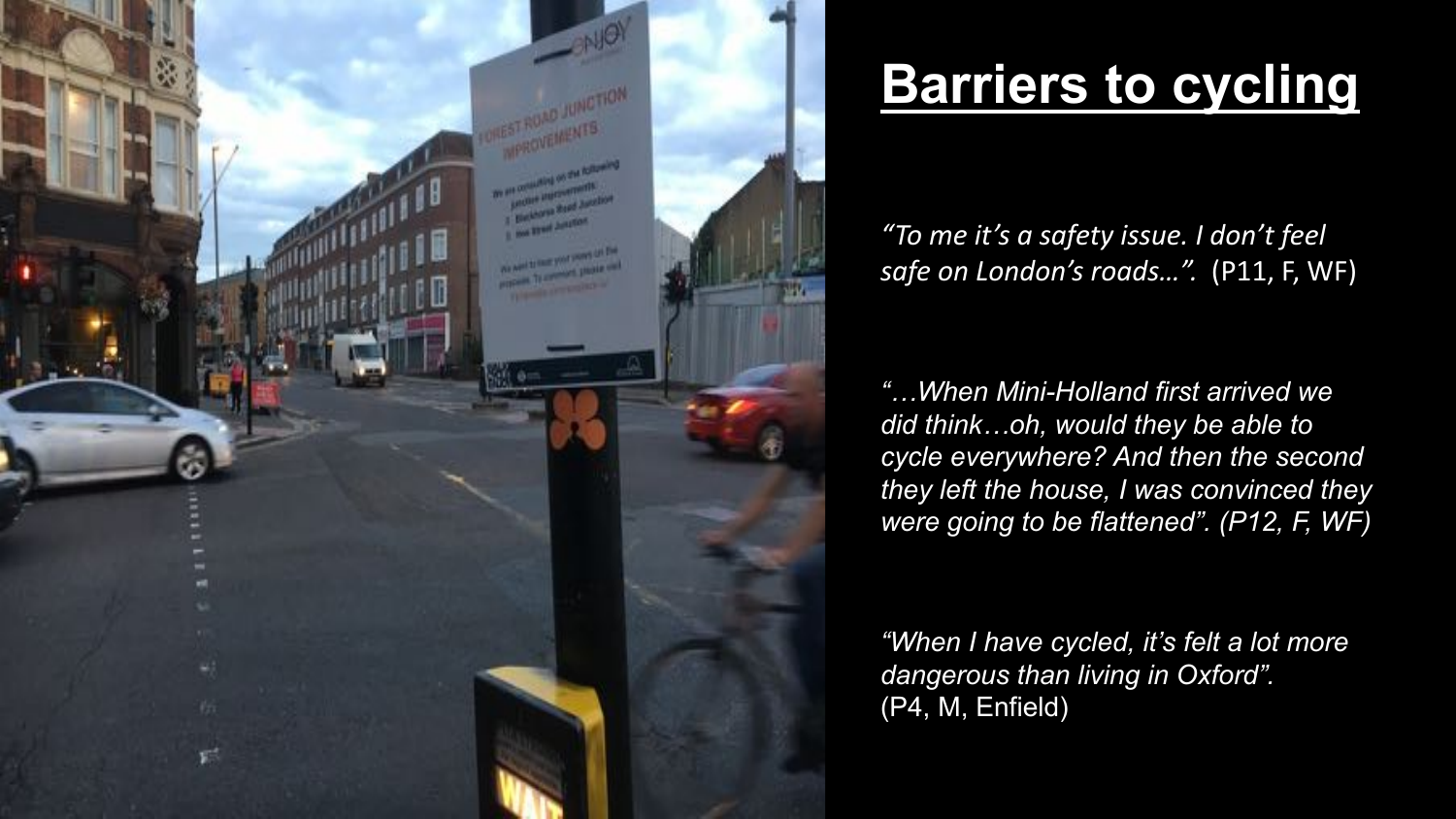

# **Barriers to cycling**

*"To me it's a safety issue. I don't feel*  safe on London's roads...". (P11, F, WF)

*"…When Mini-Holland first arrived we did think…oh, would they be able to cycle everywhere? And then the second they left the house, I was convinced they were going to be flattened". (P12, F, WF)*

*"When I have cycled, it's felt a lot more dangerous than living in Oxford".*  (P4, M, Enfield)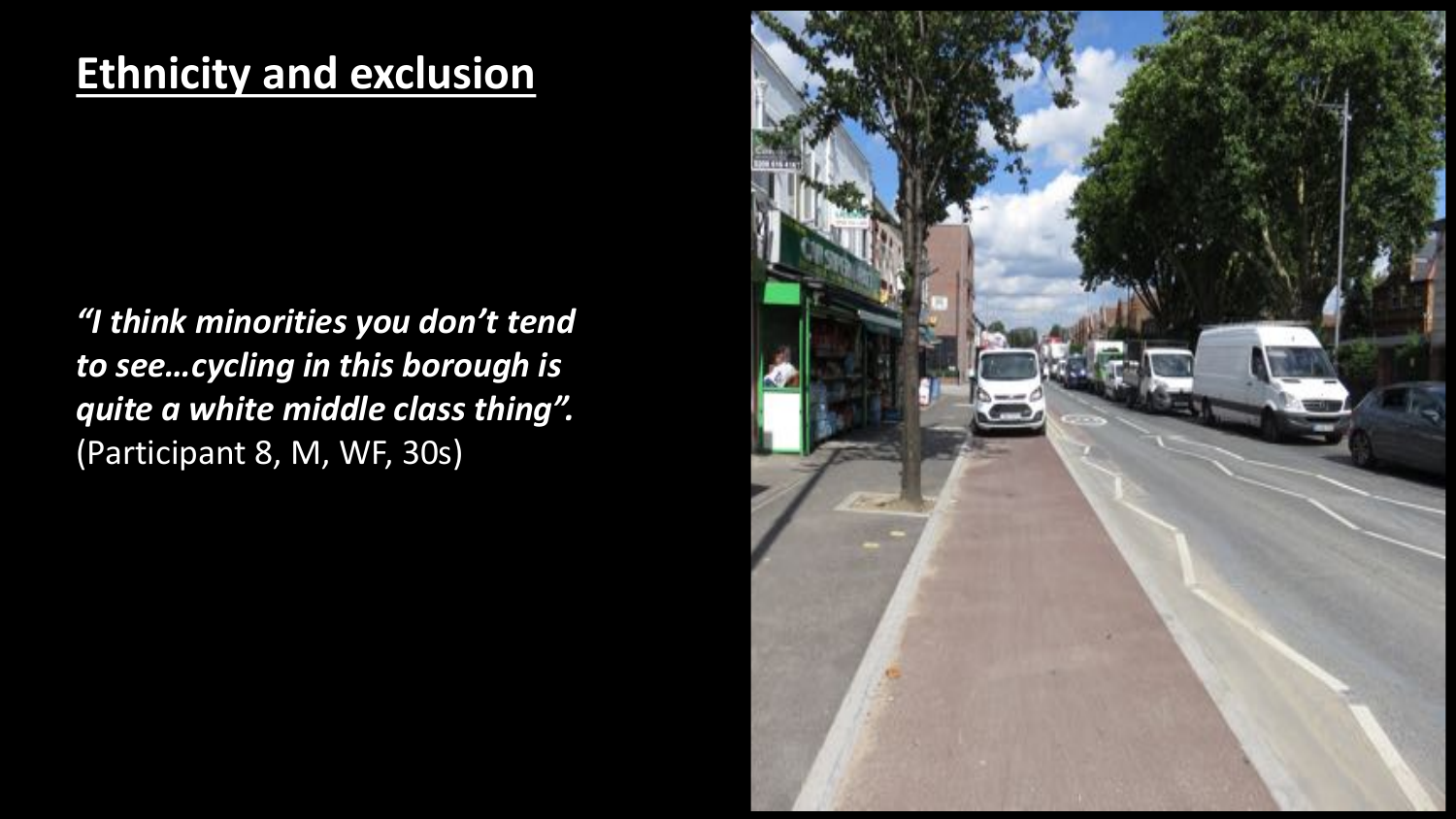## **Ethnicity and exclusion**

*"I think minorities you don't tend*  to see...cycling in this borough is *quite a white middle class thing".*  (Participant 8, M, WF, 30s)

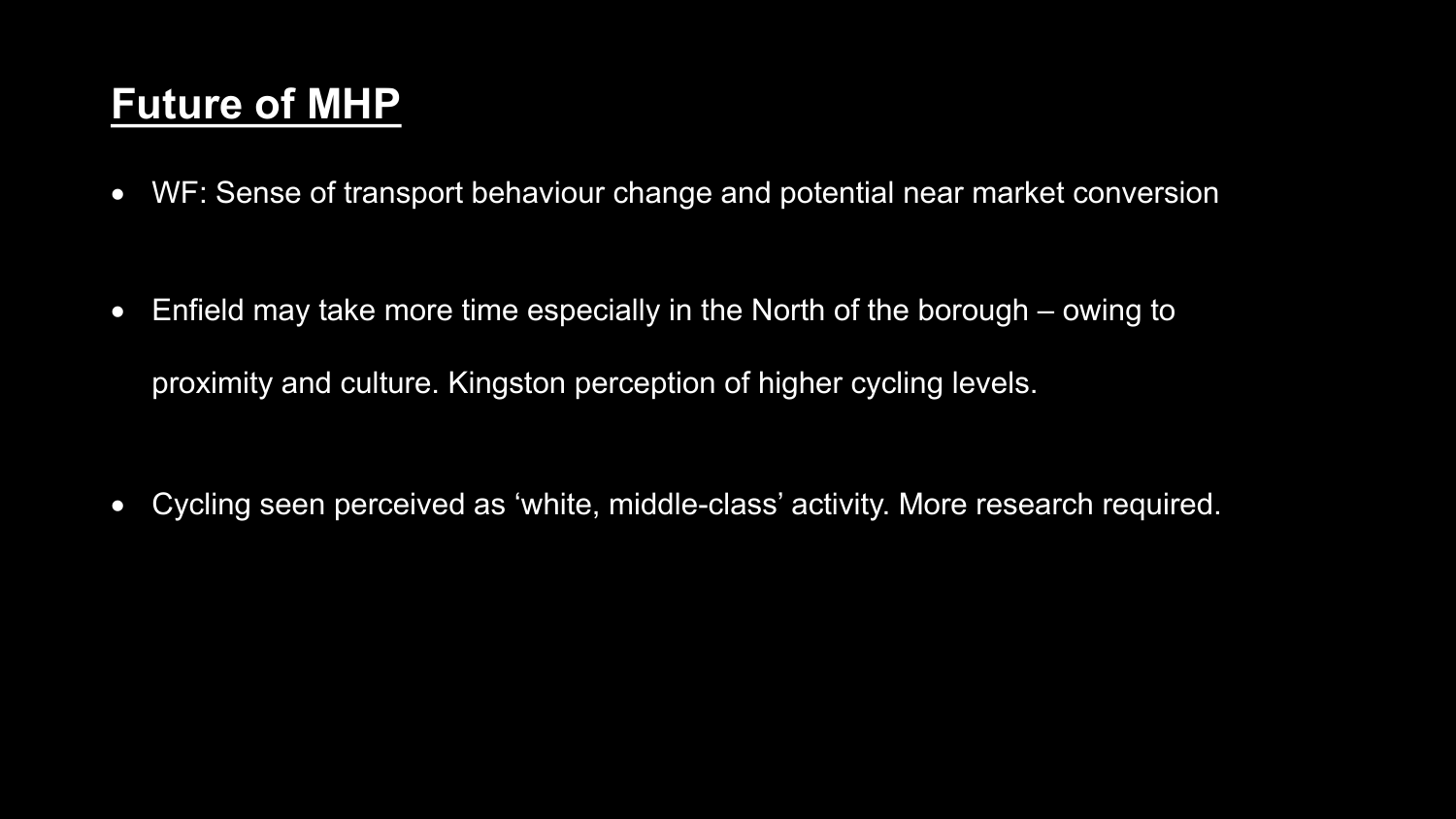## **Future of MHP**

- WF: Sense of transport behaviour change and potential near market conversion
- Enfield may take more time especially in the North of the borough owing to proximity and culture. Kingston perception of higher cycling levels.

• Cycling seen perceived as 'white, middle-class' activity. More research required.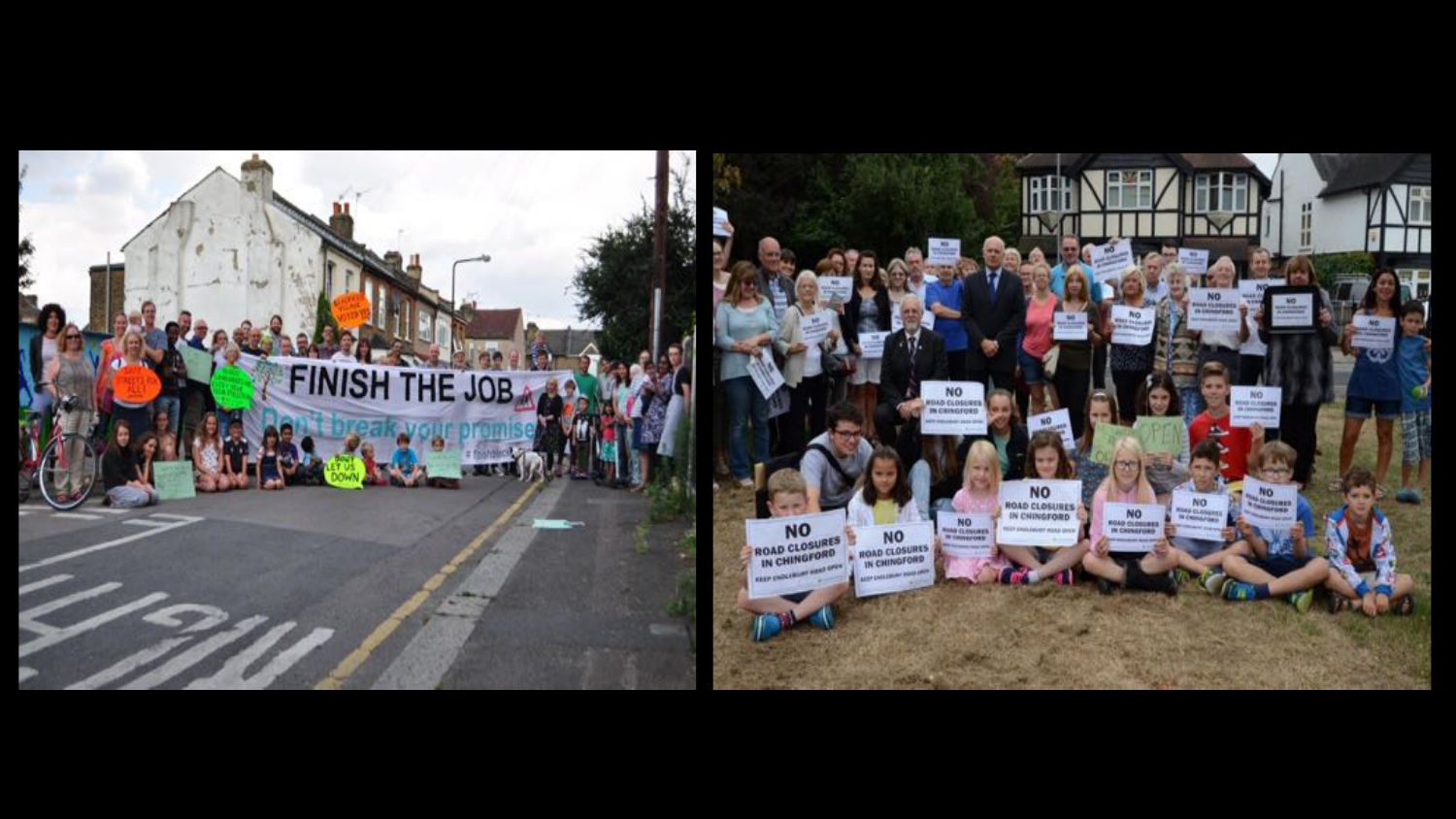